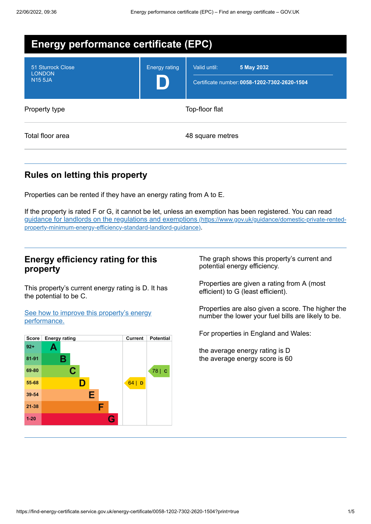| <b>Energy performance certificate (EPC)</b>          |                      |                                                                            |
|------------------------------------------------------|----------------------|----------------------------------------------------------------------------|
| 51 Sturrock Close<br><b>LONDON</b><br><b>N15 5JA</b> | <b>Energy rating</b> | 5 May 2032<br>Valid until:<br>Certificate number: 0058-1202-7302-2620-1504 |
| Property type                                        | Top-floor flat       |                                                                            |
| Total floor area                                     |                      | 48 square metres                                                           |

# **Rules on letting this property**

Properties can be rented if they have an energy rating from A to E.

If the property is rated F or G, it cannot be let, unless an exemption has been registered. You can read guidance for landlords on the regulations and exemptions (https://www.gov.uk/guidance/domestic-private-rented[property-minimum-energy-efficiency-standard-landlord-guidance\)](https://www.gov.uk/guidance/domestic-private-rented-property-minimum-energy-efficiency-standard-landlord-guidance).

## **Energy efficiency rating for this property**

This property's current energy rating is D. It has the potential to be C.

See how to improve this property's energy [performance.](#page-2-0)



The graph shows this property's current and potential energy efficiency.

Properties are given a rating from A (most efficient) to G (least efficient).

Properties are also given a score. The higher the number the lower your fuel bills are likely to be.

For properties in England and Wales:

the average energy rating is D the average energy score is 60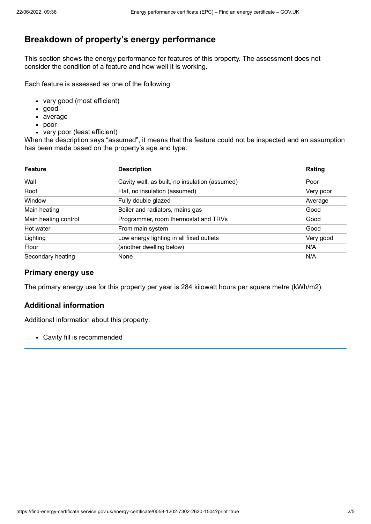# **Breakdown of property's energy performance**

This section shows the energy performance for features of this property. The assessment does not consider the condition of a feature and how well it is working.

Each feature is assessed as one of the following:

- very good (most efficient)
- good
- average
- poor
- very poor (least efficient)

When the description says "assumed", it means that the feature could not be inspected and an assumption has been made based on the property's age and type.

| <b>Feature</b>       | <b>Description</b>                             | Rating    |
|----------------------|------------------------------------------------|-----------|
| Wall                 | Cavity wall, as built, no insulation (assumed) | Poor      |
| Roof                 | Flat, no insulation (assumed)                  | Very poor |
| Window               | Fully double glazed                            | Average   |
| Main heating         | Boiler and radiators, mains gas                | Good      |
| Main heating control | Programmer, room thermostat and TRVs           | Good      |
| Hot water            | From main system                               | Good      |
| Lighting             | Low energy lighting in all fixed outlets       | Very good |
| Floor                | (another dwelling below)                       | N/A       |
| Secondary heating    | <b>None</b>                                    | N/A       |

#### **Primary energy use**

The primary energy use for this property per year is 284 kilowatt hours per square metre (kWh/m2).

### **Additional information**

Additional information about this property:

Cavity fill is recommended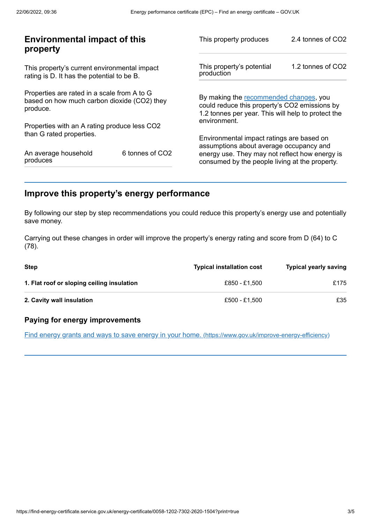| <b>Environmental impact of this</b><br>property                                                        |                 | This property produces                                                                                                                        | 2.4 tonnes of CO2 |
|--------------------------------------------------------------------------------------------------------|-----------------|-----------------------------------------------------------------------------------------------------------------------------------------------|-------------------|
| This property's current environmental impact<br>rating is D. It has the potential to be B.             |                 | This property's potential<br>production                                                                                                       | 1.2 tonnes of CO2 |
| Properties are rated in a scale from A to G<br>based on how much carbon dioxide (CO2) they<br>produce. |                 | By making the recommended changes, you<br>could reduce this property's CO2 emissions by<br>1.2 tonnes per year. This will help to protect the |                   |
| Properties with an A rating produce less CO2                                                           |                 | environment.                                                                                                                                  |                   |
| than G rated properties.                                                                               |                 | Environmental impact ratings are based on<br>assumptions about average occupancy and                                                          |                   |
| An average household<br>produces                                                                       | 6 tonnes of CO2 | energy use. They may not reflect how energy is<br>consumed by the people living at the property.                                              |                   |
|                                                                                                        |                 |                                                                                                                                               |                   |

# <span id="page-2-0"></span>**Improve this property's energy performance**

By following our step by step recommendations you could reduce this property's energy use and potentially save money.

Carrying out these changes in order will improve the property's energy rating and score from D (64) to C (78).

| Step                                       | <b>Typical installation cost</b> | <b>Typical yearly saving</b> |
|--------------------------------------------|----------------------------------|------------------------------|
| 1. Flat roof or sloping ceiling insulation | £850 - £1.500                    | £175                         |
| 2. Cavity wall insulation                  | £500 - £1.500                    | £35                          |

### **Paying for energy improvements**

Find energy grants and ways to save energy in your home. [\(https://www.gov.uk/improve-energy-efficiency\)](https://www.gov.uk/improve-energy-efficiency)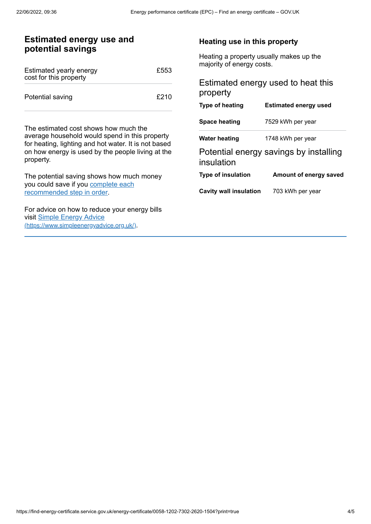## **Estimated energy use and potential savings**

| Estimated yearly energy<br>cost for this property | £553 |
|---------------------------------------------------|------|
| Potential saving                                  | £210 |

The estimated cost shows how much the average household would spend in this property for heating, lighting and hot water. It is not based on how energy is used by the people living at the property.

The potential saving shows how much money you could save if you complete each [recommended](#page-2-0) step in order.

For advice on how to reduce your energy bills visit Simple Energy Advice [\(https://www.simpleenergyadvice.org.uk/\)](https://www.simpleenergyadvice.org.uk/).

#### **Heating use in this property**

Heating a property usually makes up the majority of energy costs.

## Estimated energy used to heat this property

| <b>Type of heating</b>        | <b>Estimated energy used</b>           |
|-------------------------------|----------------------------------------|
| <b>Space heating</b>          | 7529 kWh per year                      |
| Water heating                 | 1748 kWh per year                      |
| insulation                    | Potential energy savings by installing |
| <b>Type of insulation</b>     | Amount of energy saved                 |
| <b>Cavity wall insulation</b> | 703 kWh per year                       |